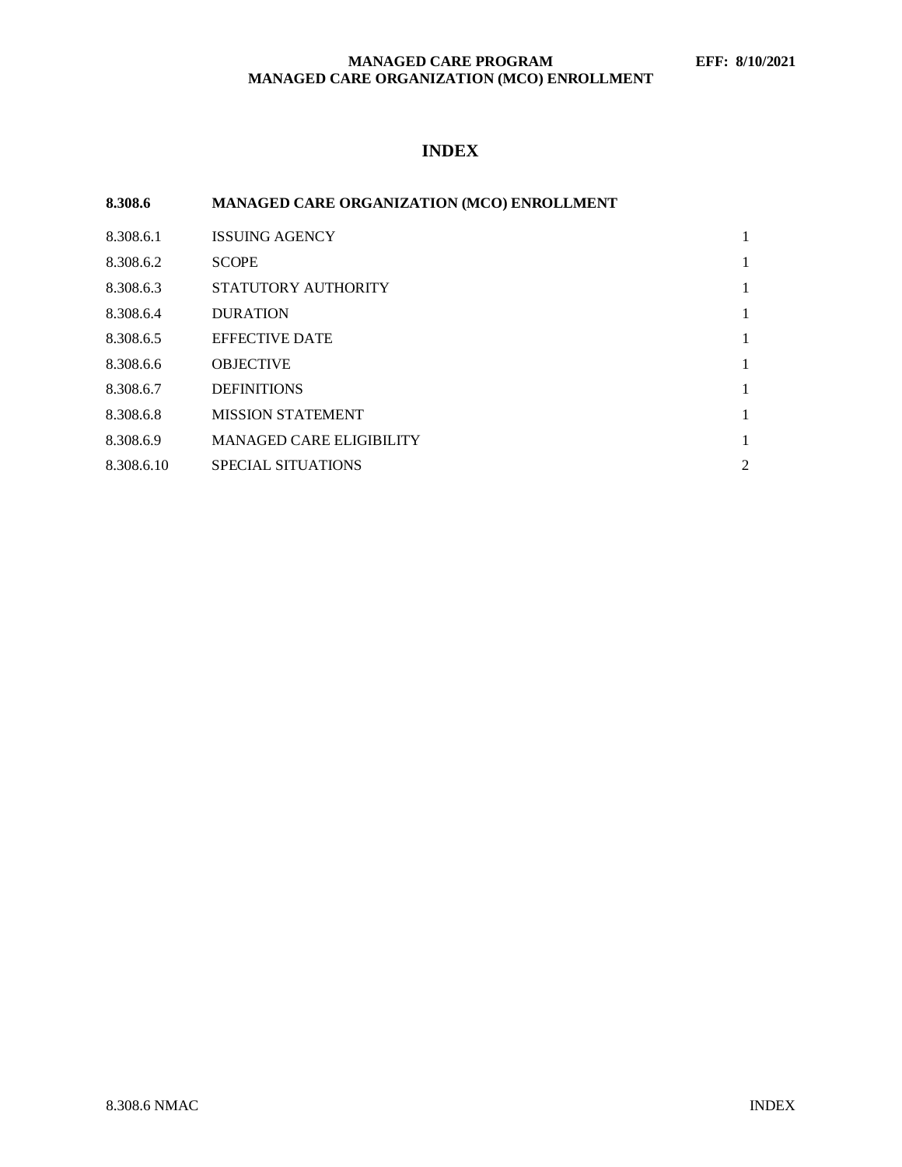# **MANAGED CARE PROGRAM EFF: 8/10/2021 MANAGED CARE ORGANIZATION (MCO) ENROLLMENT**

# **INDEX**

| 8.308.6    | MANAGED CARE ORGANIZATION (MCO) ENROLLMENT |                |
|------------|--------------------------------------------|----------------|
| 8.308.6.1  | <b>ISSUING AGENCY</b>                      | 1              |
| 8.308.6.2  | <b>SCOPE</b>                               | 1              |
| 8.308.6.3  | STATUTORY AUTHORITY                        | 1              |
| 8.308.6.4  | <b>DURATION</b>                            | 1              |
| 8.308.6.5  | <b>EFFECTIVE DATE</b>                      | 1              |
| 8.308.6.6  | <b>OBJECTIVE</b>                           | 1              |
| 8.308.6.7  | <b>DEFINITIONS</b>                         | 1              |
| 8.308.6.8  | <b>MISSION STATEMENT</b>                   | 1              |
| 8.308.6.9  | <b>MANAGED CARE ELIGIBILITY</b>            | 1              |
| 8.308.6.10 | <b>SPECIAL SITUATIONS</b>                  | $\overline{2}$ |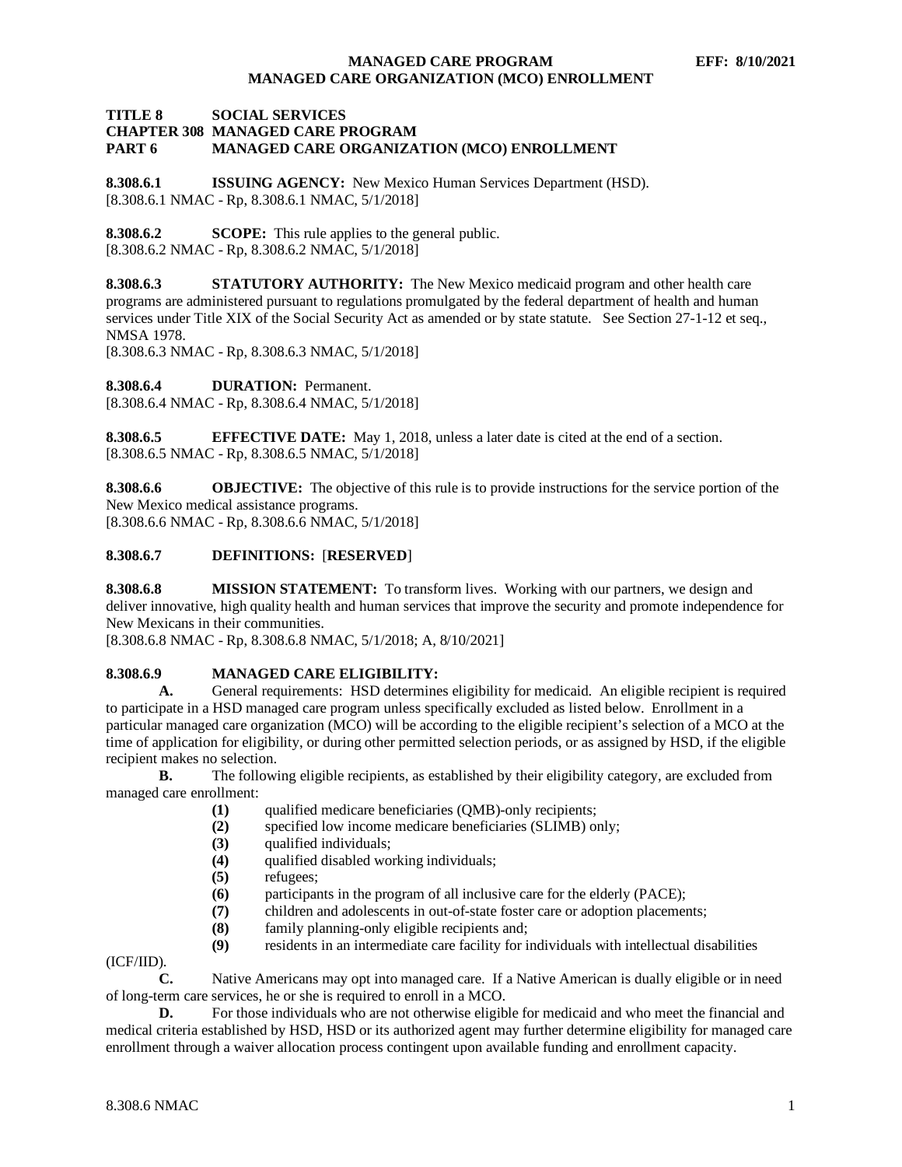# **MANAGED CARE PROGRAM EFF: 8/10/2021 MANAGED CARE ORGANIZATION (MCO) ENROLLMENT**

### **TITLE 8 SOCIAL SERVICES CHAPTER 308 MANAGED CARE PROGRAM MANAGED CARE ORGANIZATION (MCO) ENROLLMENT**

<span id="page-1-0"></span>**8.308.6.1 ISSUING AGENCY:** New Mexico Human Services Department (HSD). [8.308.6.1 NMAC - Rp, 8.308.6.1 NMAC, 5/1/2018]

<span id="page-1-1"></span>**8.308.6.2 SCOPE:** This rule applies to the general public. [8.308.6.2 NMAC - Rp, 8.308.6.2 NMAC, 5/1/2018]

<span id="page-1-2"></span>**8.308.6.3 STATUTORY AUTHORITY:** The New Mexico medicaid program and other health care programs are administered pursuant to regulations promulgated by the federal department of health and human services under Title XIX of the Social Security Act as amended or by state statute. See Section 27-1-12 et seq., NMSA 1978.

[8.308.6.3 NMAC - Rp, 8.308.6.3 NMAC, 5/1/2018]

<span id="page-1-3"></span>**8.308.6.4 DURATION:** Permanent. [8.308.6.4 NMAC - Rp, 8.308.6.4 NMAC, 5/1/2018]

<span id="page-1-4"></span>**8.308.6.5 EFFECTIVE DATE:** May 1, 2018, unless a later date is cited at the end of a section. [8.308.6.5 NMAC - Rp, 8.308.6.5 NMAC, 5/1/2018]

<span id="page-1-5"></span>**8.308.6.6 OBJECTIVE:** The objective of this rule is to provide instructions for the service portion of the New Mexico medical assistance programs.

[8.308.6.6 NMAC - Rp, 8.308.6.6 NMAC, 5/1/2018]

# <span id="page-1-6"></span>**8.308.6.7 DEFINITIONS:** [**RESERVED**]

<span id="page-1-7"></span>**8.308.6.8 MISSION STATEMENT:** To transform lives. Working with our partners, we design and deliver innovative, high quality health and human services that improve the security and promote independence for New Mexicans in their communities.

[8.308.6.8 NMAC - Rp, 8.308.6.8 NMAC, 5/1/2018; A, 8/10/2021]

# <span id="page-1-8"></span>**8.308.6.9 MANAGED CARE ELIGIBILITY:**

**A.** General requirements: HSD determines eligibility for medicaid. An eligible recipient is required to participate in a HSD managed care program unless specifically excluded as listed below. Enrollment in a particular managed care organization (MCO) will be according to the eligible recipient's selection of a MCO at the time of application for eligibility, or during other permitted selection periods, or as assigned by HSD, if the eligible recipient makes no selection.

**B.** The following eligible recipients, as established by their eligibility category, are excluded from managed care enrollment:

- (1) qualified medicare beneficiaries (QMB)-only recipients;<br>(2) specified low income medicare beneficiaries (SLIMB) or
- **(2)** specified low income medicare beneficiaries (SLIMB) only;
- **(3)** qualified individuals;
- **(4)** qualified disabled working individuals;
- **(5)** refugees;
- **(6)** participants in the program of all inclusive care for the elderly (PACE);
- **(7)** children and adolescents in out-of-state foster care or adoption placements;
- **(8)** family planning-only eligible recipients and;
- **(9)** residents in an intermediate care facility for individuals with intellectual disabilities

(ICF/IID).

**C.** Native Americans may opt into managed care. If a Native American is dually eligible or in need of long-term care services, he or she is required to enroll in a MCO.

**D.** For those individuals who are not otherwise eligible for medicaid and who meet the financial and medical criteria established by HSD, HSD or its authorized agent may further determine eligibility for managed care enrollment through a waiver allocation process contingent upon available funding and enrollment capacity.